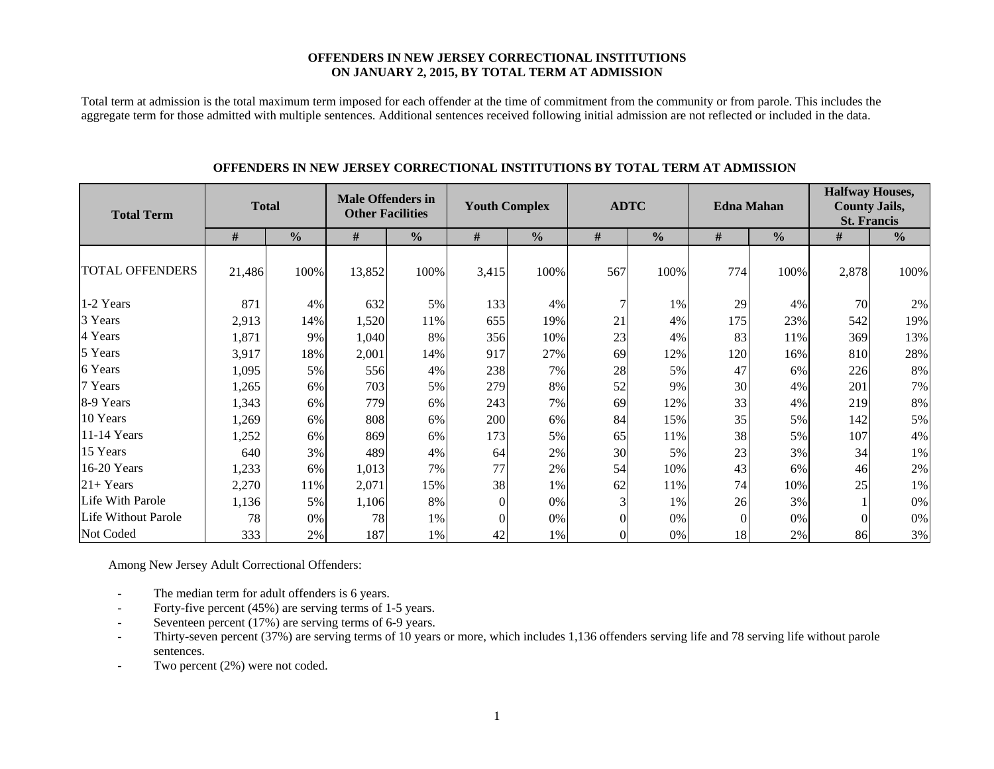#### **OFFENDERS IN NEW JERSEY CORRECTIONAL INSTITUTIONS ON JANUARY 2, 2015, BY TOTAL TERM AT ADMISSION**

Total term at admission is the total maximum term imposed for each offender at the time of commitment from the community or from parole. This includes the aggregate term for those admitted with multiple sentences. Additional sentences received following initial admission are not reflected or included in the data.

| <b>Total Term</b>          | <b>Total</b> |               | <b>Male Offenders in</b><br><b>Other Facilities</b> |               | <b>Youth Complex</b> |               | <b>ADTC</b> |               |          | <b>Edna Mahan</b> | <b>Halfway Houses,</b><br><b>County Jails,</b><br><b>St. Francis</b> |               |  |
|----------------------------|--------------|---------------|-----------------------------------------------------|---------------|----------------------|---------------|-------------|---------------|----------|-------------------|----------------------------------------------------------------------|---------------|--|
|                            | #            | $\frac{0}{0}$ | $\#$                                                | $\frac{0}{0}$ | #                    | $\frac{6}{6}$ | #           | $\frac{0}{0}$ | $\#$     | $\frac{0}{0}$     | #                                                                    | $\frac{0}{0}$ |  |
| <b>TOTAL OFFENDERS</b>     | 21,486       | 100%          | 13,852                                              | 100%          | 3,415                | 100%          | 567         | 100%          | 774      | 100%              | 2,878                                                                | 100%          |  |
| 1-2 Years                  | 871          | 4%            | 632                                                 | 5%            | 133                  | 4%            | 7           | 1%            | 29       | 4%                | 70                                                                   | 2%            |  |
| 3 Years                    | 2,913        | 14%           | 1,520                                               | 11%           | 655                  | 19%           | 21          | 4%            | 175      | 23%               | 542                                                                  | 19%           |  |
| 4 Years                    | 1,871        | 9%            | 1,040                                               | 8%            | 356                  | 10%           | 23          | 4%            | 83       | 11%               | 369                                                                  | 13%           |  |
| 5 Years                    | 3,917        | 18%           | 2,001                                               | 14%           | 917                  | 27%           | 69          | 12%           | 120      | 16%               | 810                                                                  | 28%           |  |
| 6 Years                    | 1,095        | 5%            | 556                                                 | 4%            | 238                  | 7%            | 28          | 5%            | 47       | 6%                | 226                                                                  | $8\%$         |  |
| 7 Years                    | 1,265        | 6%            | 703                                                 | 5%            | 279                  | 8%            | 52          | 9%            | 30       | 4%                | 201                                                                  | 7%            |  |
| 8-9 Years                  | 1,343        | 6%            | 779                                                 | 6%            | 243                  | 7%            | 69          | 12%           | 33       | 4%                | 219                                                                  | $8\%$         |  |
| 10 Years                   | 1,269        | 6%            | 808                                                 | 6%            | 200                  | 6%            | 84          | 15%           | 35       | 5%                | 142                                                                  | 5%            |  |
| 11-14 Years                | 1,252        | 6%            | 869                                                 | 6%            | 173                  | 5%            | 65          | 11%           | 38       | 5%                | 107                                                                  | 4%            |  |
| 15 Years                   | 640          | 3%            | 489                                                 | 4%            | 64                   | 2%            | 30          | 5%            | 23       | 3%                | 34                                                                   | 1%            |  |
| 16-20 Years                | 1,233        | 6%            | 1,013                                               | 7%            | 77                   | 2%            | 54          | 10%           | 43       | 6%                | 46                                                                   | 2%            |  |
| $21+Years$                 | 2,270        | 11%           | 2,071                                               | 15%           | 38                   | 1%            | 62          | 11%           | 74       | 10%               | 25                                                                   | 1%            |  |
| Life With Parole           | 1,136        | 5%            | 1,106                                               | 8%            | $\mathbf{0}$         | $0\%$         | 3           | 1%            | 26       | 3%                |                                                                      | 0%            |  |
| <b>Life Without Parole</b> | 78           | 0%            | 78                                                  | 1%            | $\Omega$             | 0%            |             | 0%            | $\theta$ | 0%                |                                                                      | 0%            |  |
| Not Coded                  | 333          | 2%            | 187                                                 | 1%            | 42                   | 1%            |             | 0%            | 18       | 2%                | 86                                                                   | 3%            |  |

#### **OFFENDERS IN NEW JERSEY CORRECTIONAL INSTITUTIONS BY TOTAL TERM AT ADMISSION**

Among New Jersey Adult Correctional Offenders:

- -The median term for adult offenders is 6 years.
- -Forty-five percent (45%) are serving terms of 1-5 years.
- Seventeen percent (17%) are serving terms of 6-9 years.
- - Thirty-seven percent (37%) are serving terms of 10 years or more, which includes 1,136 offenders serving life and 78 serving life without parole sentences.
- -Two percent (2%) were not coded.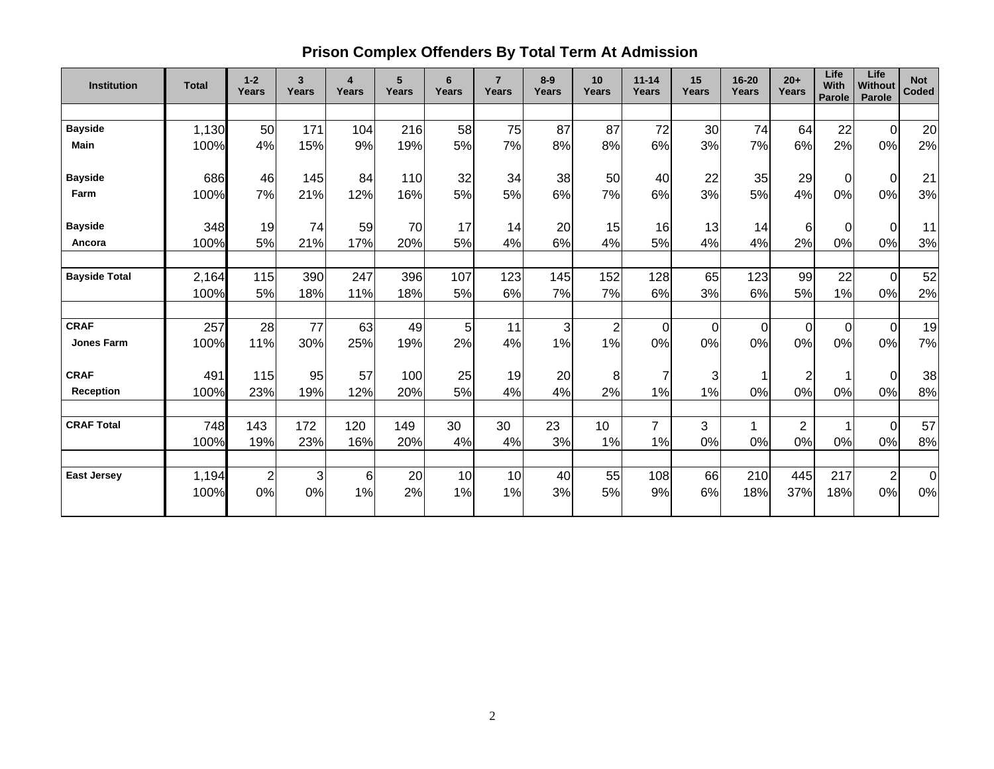# **Prison Complex Offenders By Total Term At Admission**

| <b>Institution</b>   | <b>Total</b> | $1 - 2$<br>Years | 3<br>Years | $\overline{\mathbf{4}}$<br>Years | 5<br><b>Years</b> | 6<br>Years | $\overline{7}$<br>Years | $8-9$<br>Years | 10<br>Years    | $11 - 14$<br>Years | 15<br><b>Years</b> | $16 - 20$<br><b>Years</b> | $20+$<br>Years | Life<br><b>With</b><br>Parole | Life<br><b>Without</b><br><b>Parole</b> | <b>Not</b><br><b>Coded</b> |
|----------------------|--------------|------------------|------------|----------------------------------|-------------------|------------|-------------------------|----------------|----------------|--------------------|--------------------|---------------------------|----------------|-------------------------------|-----------------------------------------|----------------------------|
|                      |              |                  |            |                                  |                   |            |                         |                |                |                    |                    |                           |                |                               |                                         |                            |
| <b>Bayside</b>       | 1,130        | 50               | 171        | 104                              | 216               | 58         | 75                      | 87             | 87             | 72                 | 30                 | 74                        | 64             | 22                            | $\mathbf 0$                             | 20                         |
| <b>Main</b>          | 100%         | 4%               | 15%        | 9%                               | 19%               | 5%         | 7%                      | 8%             | 8%             | 6%                 | 3%                 | 7%                        | 6%             | 2%                            | 0%                                      | 2%                         |
| <b>Bayside</b>       | 686          | 46               | 145        | 84                               | 110               | 32         | 34                      | 38             | 50             | 40                 | 22                 | 35                        | 29             | $\Omega$                      | $\mathbf 0$                             | 21                         |
| Farm                 | 100%         | 7%               | 21%        | 12%                              | 16%               | 5%         | 5%                      | 6%             | 7%             | 6%                 | 3%                 | 5%                        | 4%             | 0%                            | 0%                                      | 3%                         |
| <b>Bayside</b>       | 348          | 19               | 74         | 59                               | 70                | 17         | 14                      | 20             | 15             | 16                 | 13                 | 14                        | 6              | $\Omega$                      | $\Omega$                                | 11                         |
| Ancora               | 100%         | 5%               | 21%        | 17%                              | 20%               | 5%         | 4%                      | 6%             | 4%             | 5%                 | 4%                 | 4%                        | 2%             | 0%                            | 0%                                      | 3%                         |
| <b>Bayside Total</b> | 2,164        | 115              | 390        | 247                              | 396               | 107        | 123                     | 145            | 152            | 128                | 65                 | 123                       | 99             | 22                            | $\overline{0}$                          | 52                         |
|                      | 100%         | 5%               | 18%        | 11%                              | 18%               | 5%         | 6%                      | 7%             | 7%             | 6%                 | 3%                 | 6%                        | 5%             | 1%                            | 0%                                      | 2%                         |
| <b>CRAF</b>          | 257          | 28               | 77         | 63                               | 49                | 5          | 11                      | 3              | $\overline{2}$ | $\overline{0}$     | $\overline{0}$     | $\overline{0}$            | $\Omega$       | $\overline{0}$                | $\mathbf 0$                             | 19                         |
| <b>Jones Farm</b>    | 100%         | 11%              | 30%        | 25%                              | 19%               | 2%         | 4%                      | 1%             | 1%             | 0%                 | 0%                 | 0%                        | 0%             | 0%                            | 0%                                      | 7%                         |
| <b>CRAF</b>          | 491          | 115              | 95         | 57                               | 100               | 25         | 19                      | 20             | 8              | $\overline{7}$     | 3                  |                           | $\overline{2}$ |                               | $\boldsymbol{0}$                        | 38                         |
| <b>Reception</b>     | 100%         | 23%              | 19%        | 12%                              | 20%               | 5%         | 4%                      | 4%             | 2%             | 1%                 | 1%                 | 0%                        | 0%             | 0%                            | 0%                                      | 8%                         |
| <b>CRAF Total</b>    | 748          | 143              | 172        | 120                              | 149               | 30         | 30                      | 23             | 10             | $\overline{7}$     | 3                  | 1                         | $\overline{2}$ | 1                             | $\overline{0}$                          | 57                         |
|                      | 100%         | 19%              | 23%        | 16%                              | 20%               | 4%         | 4%                      | 3%             | 1%             | 1%                 | 0%                 | 0%                        | 0%             | 0%                            | 0%                                      | 8%                         |
| <b>East Jersey</b>   | 1,194        | $\overline{2}$   | 3          | 6                                | 20                | 10         | 10                      | 40             | 55             | 108                | 66                 | 210                       | 445            | 217                           | $\overline{2}$                          | $\mathbf 0$                |
|                      | 100%         | 0%               | 0%         | 1%                               | 2%                | 1%         | 1%                      | 3%             | 5%             | 9%                 | 6%                 | 18%                       | 37%            | 18%                           | 0%                                      | 0%                         |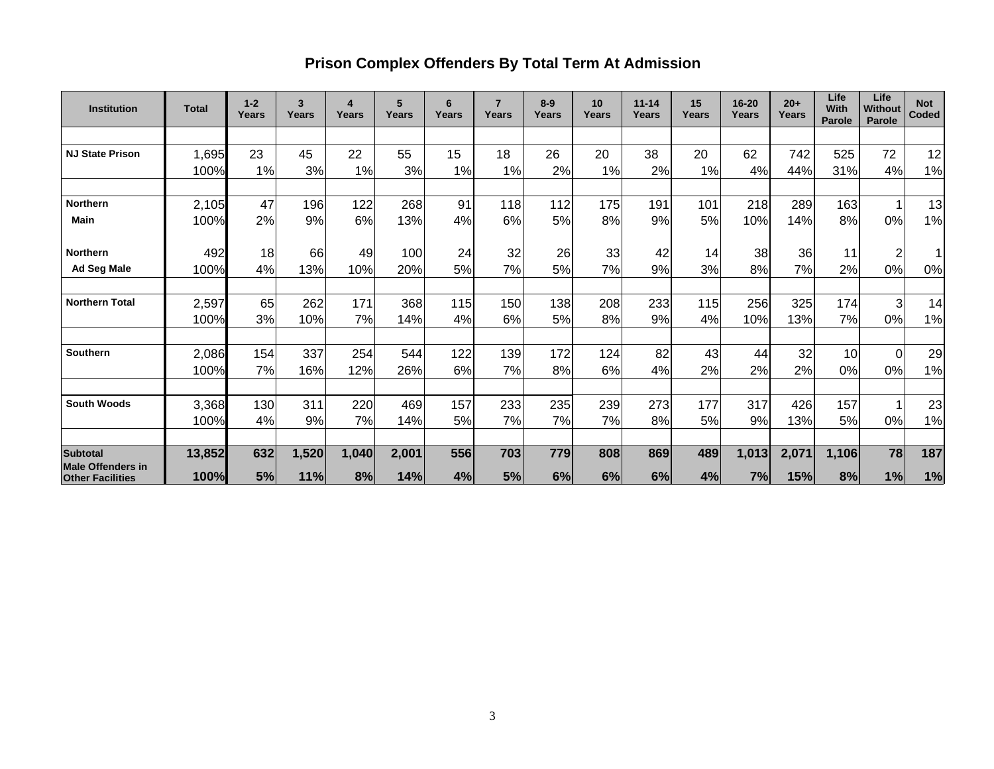# **Prison Complex Offenders By Total Term At Admission**

| <b>Institution</b>                           | <b>Total</b> | $1 - 2$<br>Years | 3<br>Years | 4<br>Years | 5<br>Years | 6<br>Years | $\overline{7}$<br>Years | $8-9$<br>Years | 10<br>Years | $11 - 14$<br>Years | 15<br>Years | 16-20<br>Years | $20+$<br>Years | Life<br>With<br><b>Parole</b> | Life<br>Without<br><b>Parole</b> | <b>Not</b><br><b>Coded</b> |
|----------------------------------------------|--------------|------------------|------------|------------|------------|------------|-------------------------|----------------|-------------|--------------------|-------------|----------------|----------------|-------------------------------|----------------------------------|----------------------------|
|                                              |              |                  |            |            |            |            |                         |                |             |                    |             |                |                |                               |                                  |                            |
| <b>NJ State Prison</b>                       | 1,695        | 23               | 45         | 22         | 55         | 15         | 18                      | 26             | 20          | 38                 | 20          | 62             | 742            | 525                           | 72                               | 12                         |
|                                              | 100%         | 1%               | 3%         | 1%         | 3%         | 1%         | 1%                      | 2%             | 1%          | 2%                 | 1%          | 4%             | 44%            | 31%                           | 4%                               | 1%                         |
|                                              |              |                  |            |            |            |            |                         |                |             |                    |             |                |                |                               |                                  |                            |
| Northern                                     | 2,105        | 47               | 196        | 122        | 268        | 91         | 118                     | 112            | 175         | 191                | 101         | 218            | 289            | 163                           |                                  | 13                         |
| <b>Main</b>                                  | 100%         | 2%               | 9%         | 6%         | 13%        | 4%         | 6%                      | 5%             | 8%          | 9%                 | 5%          | 10%            | 14%            | 8%                            | 0%                               | 1%                         |
|                                              |              |                  |            |            |            |            |                         |                |             |                    |             |                |                |                               |                                  |                            |
| <b>Northern</b>                              | 492          | 18               | 66         | 49         | 100        | 24         | 32                      | 26             | 33          | 42                 | 14          | 38             | 36             | 11                            | 2                                |                            |
| <b>Ad Seg Male</b>                           | 100%         | 4%               | 13%        | 10%        | 20%        | 5%         | 7%                      | 5%             | 7%          | 9%                 | 3%          | 8%             | 7%             | 2%                            | 0%                               | 0%                         |
|                                              |              |                  |            |            |            |            |                         |                |             |                    |             |                |                |                               |                                  |                            |
| <b>Northern Total</b>                        | 2,597        | 65               | 262        | 171        | 368        | 115        | 150                     | 138            | 208         | 233                | 115         | 256            | 325            | 174                           | $\overline{3}$                   | 14                         |
|                                              | 100%         | 3%               | 10%        | 7%         | 14%        | 4%         | 6%                      | 5%             | 8%          | 9%                 | 4%          | 10%            | 13%            | 7%                            | 0%                               | 1%                         |
|                                              |              |                  |            |            |            |            |                         |                |             |                    |             |                |                |                               |                                  |                            |
| Southern                                     | 2,086        | 154              | 337        | 254        | 544        | 122        | 139                     | 172            | 124         | 82                 | 43          | 44             | 32             | 10                            | $\Omega$                         | 29                         |
|                                              | 100%         | 7%               | 16%        | 12%        | 26%        | 6%         | 7%                      | 8%             | 6%          | 4%                 | 2%          | 2%             | 2%             | 0%                            | 0%                               | 1%                         |
|                                              |              |                  |            |            |            |            |                         |                |             |                    |             |                |                |                               |                                  |                            |
| <b>South Woods</b>                           | 3,368        | 130              | 311        | 220        | 469        | 157        | 233                     | 235            | 239         | 273                | 177         | 317            | 426            | 157                           |                                  | 23                         |
|                                              | 100%         | 4%               | 9%         | 7%         | 14%        | 5%         | 7%                      | 7%             | 7%          | 8%                 | 5%          | 9%             | 13%            | 5%                            | 0%                               | 1%                         |
|                                              |              |                  |            |            |            |            |                         |                |             |                    |             |                |                |                               |                                  |                            |
| <b>Subtotal</b>                              | 13,852       | 632              | 1,520      | 1,040      | 2,001      | 556        | 703                     | 779            | 808         | 869                | 489         | 1,013          | 2,071          | 1,106                         | 78                               | 187                        |
| Male Offenders in<br><b>Other Facilities</b> | 100%         | 5%               | 11%        | 8%         | 14%        | 4%         | 5%                      | 6%             | 6%          | 6%                 | 4%          | 7%             | 15%            | 8%                            | 1%                               | 1%                         |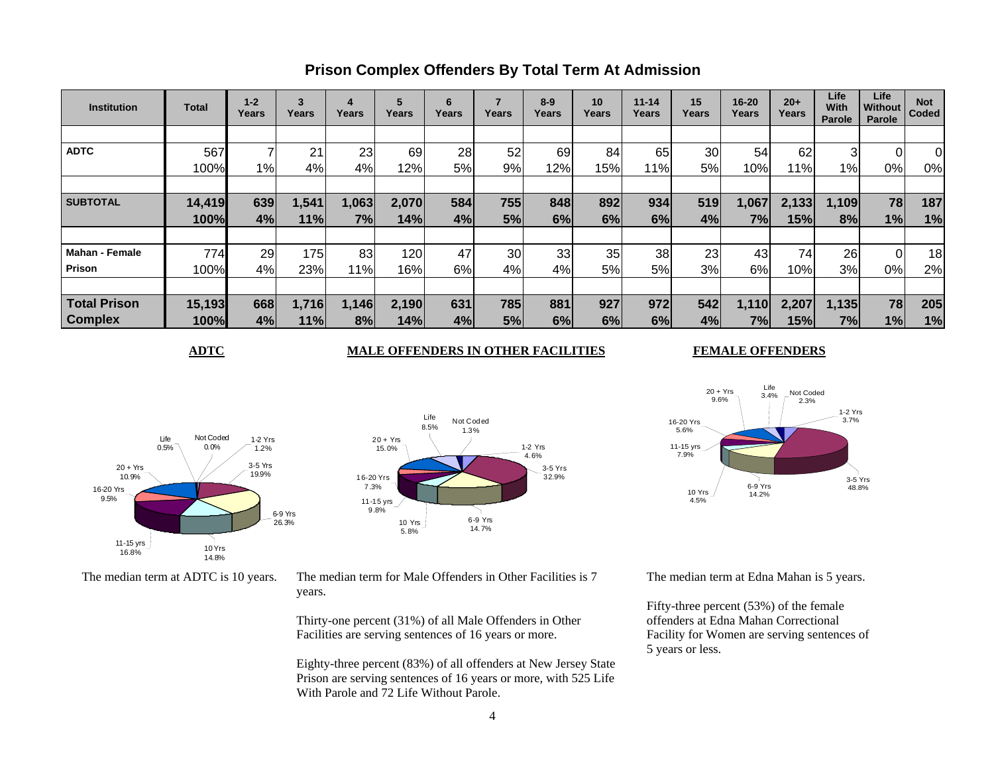| <b>Institution</b>    | Total  | $1 - 2$<br>Years | 3<br>Years | 4<br>Years | 5<br>Years | 6<br>Years | Years | $8 - 9$<br>Years | 10<br>Years | $11 - 14$<br>Years | 15<br>Years | 16-20<br>Years | $20+$<br>Years | Life<br>With<br>Parole | Life<br>Without<br>Parole | <b>Not</b><br>Coded |
|-----------------------|--------|------------------|------------|------------|------------|------------|-------|------------------|-------------|--------------------|-------------|----------------|----------------|------------------------|---------------------------|---------------------|
|                       |        |                  |            |            |            |            |       |                  |             |                    |             |                |                |                        |                           |                     |
| <b>ADTC</b>           | 567    |                  | 21         | 23         | 69         | 28         | 52    | 69               | 84          | 65                 | 30          | 54             | 62             | 3                      | 01                        | $\overline{0}$      |
|                       | 100%   | 1%               | 4%         | 4%         | 12%        | 5%         | 9%    | 12%              | 15%         | 11%                | 5%          | 10%            | 11%            | 1%                     | 0%                        | 0%                  |
|                       |        |                  |            |            |            |            |       |                  |             |                    |             |                |                |                        |                           |                     |
| <b>SUBTOTAL</b>       | 14,419 | 639              | 1,541      | 1,063      | 2,070      | 584        | 755   | 848              | 892         | 934                | 519         | 1,067          | 2,133          | 1,109                  | 78                        | 187                 |
|                       | 100%   | 4%               | 11%        | 7%         | 14%        | 4%         | 5%    | 6%               | 6%          | 6%                 | 4%          | 7%l            | 15%            | 8%                     | 1%                        | 1%                  |
|                       |        |                  |            |            |            |            |       |                  |             |                    |             |                |                |                        |                           |                     |
| <b>Mahan - Female</b> | 774    | 29               | 175        | 83         | 120        | 47         | 30    | 33               | 35          | 38                 | 23          | 43             | 74             | 26                     | 0l                        | 18                  |
| <b>Prison</b>         | 100%   | 4%               | 23%        | 11%        | 16%        | 6%         | 4%    | 4%               | 5%          | 5%                 | 3%          | 6%             | 10%            | 3%                     | 0%                        | 2%                  |
|                       |        |                  |            |            |            |            |       |                  |             |                    |             |                |                |                        |                           |                     |
| <b>Total Prison</b>   | 15,193 | 668              | 1,716      | 1,146      | 2,190      | 631        | 785   | 881              | 927         | 972                | 542         | 1,110          | 2,207          | 1,135                  | 78                        | 205                 |
| <b>Complex</b>        | 100%   | 4%               | 11%        | 8%         | 14%        | 4%         | 5%    | 6%               | 6%          | 6%                 | 4%          | 7%             | 15%            | 7%                     | 1%                        | 1%                  |

3-5 Yrs32.9%

1-2 Yrs 4.6%

### **Prison Complex Offenders By Total Term At Admission**

#### **ADTC** MALE OFFENDERS IN OTHER FACILITIES

Not Coded1.3%

#### **FEMALE OFFENDERS**





The median term at ADTC is 10 years. The median term for Male Offenders in Other Facilities is 7 years.

6-9 Yrs14.7%

 $20 + Yrs$ 15.0%

16-20 Yrs 7.3%

11-15 yrs 9.8%

> 10 Yrs 5.8%

Life8.5%

Thirty-one percent (31%) of all Male Offenders in Other Facilities are serving sentences of 16 years or more.

Eighty-three percent (83%) of all offenders at New Jersey State Prison are serving sentences of 16 years or more, with 525 Life With Parole and 72 Life Without Parole.



The median term at Edna Mahan is 5 years.

Fifty-three percent (53%) of the female offenders at Edna Mahan Correctional Facility for Women are serving sentences of 5 years or less.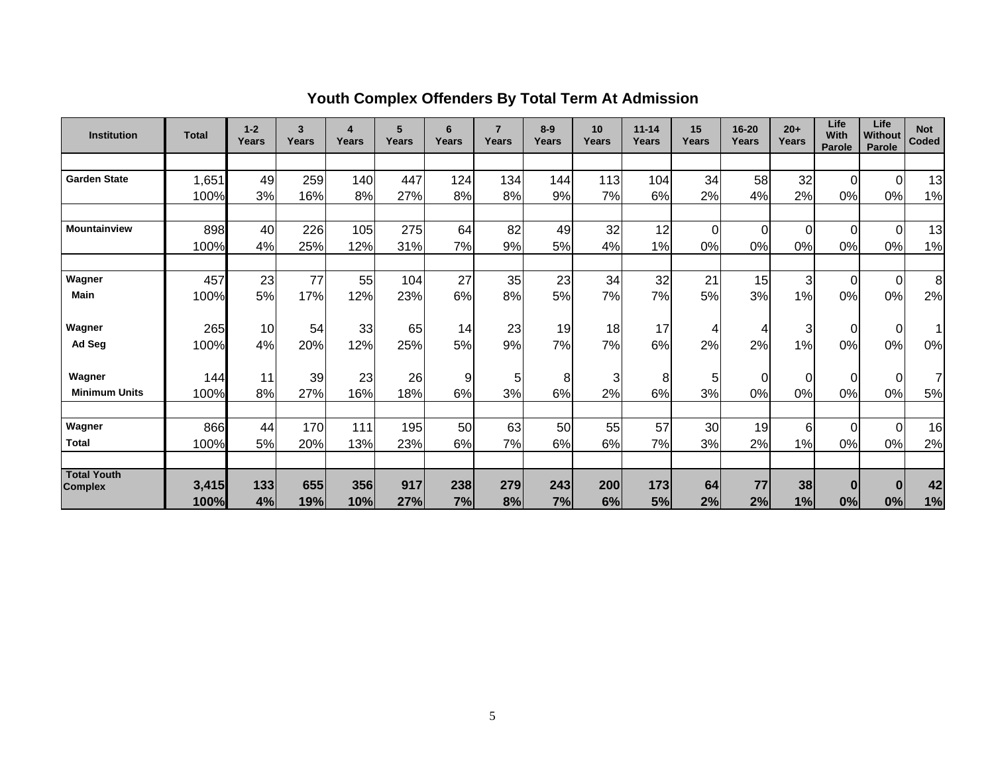| <b>Institution</b>   | <b>Total</b>  | $1 - 2$<br>Years | 3<br>Years | 4<br>Years | 5<br>Years | 6<br>Years | $\overline{7}$<br>Years | $8-9$<br>Years | 10<br>Years | $11 - 14$<br>Years | 15<br>Years | $16 - 20$<br><b>Years</b> | $20+$<br>Years | Life<br><b>With</b><br>Parole | Life<br>Without<br>Parole | <b>Not</b><br>Coded |
|----------------------|---------------|------------------|------------|------------|------------|------------|-------------------------|----------------|-------------|--------------------|-------------|---------------------------|----------------|-------------------------------|---------------------------|---------------------|
|                      |               |                  |            |            |            |            |                         |                |             |                    |             |                           |                |                               |                           |                     |
| <b>Garden State</b>  | 1,651         | 49               | 259        | 140        | 447        | 124        | 134                     | 144            | 113         | 104                | 34          | 58                        | 32             | $\Omega$                      | $\Omega$                  | 13                  |
|                      | 100%          | 3%               | 16%        | 8%         | 27%        | 8%         | 8%                      | 9%             | 7%          | 6%                 | 2%          | 4%                        | 2%             | 0%                            | 0%                        | 1%                  |
|                      |               |                  |            |            |            |            |                         |                |             |                    |             |                           |                |                               |                           |                     |
| <b>Mountainview</b>  | 898           | 40               | 226        | 105        | 275        | 64         | 82                      | 49             | 32          | 12                 | $\Omega$    | $\Omega$                  | $\Omega$       | $\Omega$                      | $\Omega$                  | 13                  |
|                      | 100%          | 4%               | 25%        | 12%        | 31%        | 7%         | 9%                      | 5%             | 4%          | 1%                 | 0%          | 0%                        | 0%             | 0%                            | 0%                        | 1%                  |
|                      |               |                  |            |            |            |            |                         |                |             |                    |             |                           |                |                               |                           |                     |
| Wagner               | 457           | 23               | 77         | 55         | 104        | 27         | 35                      | 23             | 34          | 32                 | 21          | 15                        | 3 <sup>1</sup> | $\Omega$                      | $\mathbf 0$               | 8                   |
| <b>Main</b>          | 100%          | 5%               | 17%        | 12%        | 23%        | 6%         | 8%                      | 5%             | 7%          | 7%                 | 5%          | 3%                        | 1%             | 0%                            | 0%                        | 2%                  |
| Wagner               | 265           | 10               | 54         | 33         | 65         | 14         | 23                      | 19             | 18          | 17                 | 4           | 4                         | $\overline{3}$ | 0                             | $\Omega$                  | $\overline{1}$      |
| Ad Seg               | 100%          | 4%               | 20%        | 12%        | 25%        | 5%         | 9%                      | 7%             | 7%          | 6%                 | 2%          | 2%                        | 1%             | 0%                            | 0%                        | 0%                  |
| Wagner               | 144           | 11               | 39         | 23         | 26         | 9          | 5                       | 8              | 3           | 8                  | 5           | $\overline{0}$            | $\overline{0}$ | 0                             | $\Omega$                  | 7                   |
| <b>Minimum Units</b> | 100%          | 8%               | 27%        | 16%        | 18%        | 6%         | 3%                      | 6%             | 2%          | 6%                 | 3%          | 0%                        | 0%             | 0%                            | 0%                        | 5%                  |
|                      |               |                  |            |            |            |            |                         |                |             |                    |             |                           |                |                               |                           |                     |
| Wagner               | 866           | 44               | 170        | 111        | 195        | 50         | 63                      | 50             | 55          | 57                 | 30          | 19                        | $6 \,$         | $\Omega$                      | $\Omega$                  | 16                  |
| <b>Total</b>         | 100%          | 5%               | 20%        | 13%        | 23%        | 6%         | 7%                      | 6%             | 6%          | 7%                 | 3%          | 2%                        | 1%             | 0%                            | 0%                        | 2%                  |
| <b>Total Youth</b>   |               |                  |            |            |            |            |                         |                |             |                    |             |                           |                |                               |                           |                     |
| <b>Complex</b>       | 3,415<br>100% | 133<br>4%        | 655<br>19% | 356<br>10% | 917<br>27% | 238<br>7%  | 279<br>8%               | 243<br>7%      | 200<br>6%   | 173<br>5%          | 64<br>2%    | 77<br>2%                  | 38<br>1%       | $\bf{0}$<br>0%                | $\bf{0}$<br>0%            | 42<br>1%            |

# **Youth Complex Offenders By Total Term At Admission**